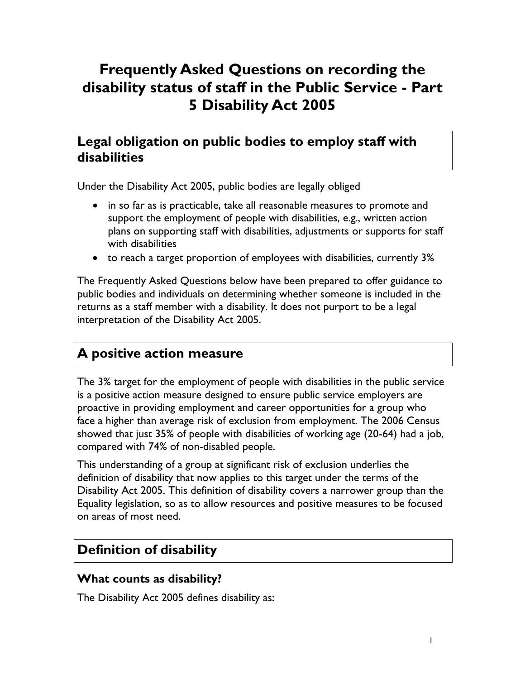# **Frequently Asked Questions on recording the disability status of staff in the Public Service - Part 5 Disability Act 2005**

# **Legal obligation on public bodies to employ staff with disabilities**

Under the Disability Act 2005, public bodies are legally obliged

- in so far as is practicable, take all reasonable measures to promote and support the employment of people with disabilities, e.g., written action plans on supporting staff with disabilities, adjustments or supports for staff with disabilities
- to reach a target proportion of employees with disabilities, currently 3%

The Frequently Asked Questions below have been prepared to offer guidance to public bodies and individuals on determining whether someone is included in the returns as a staff member with a disability. It does not purport to be a legal interpretation of the Disability Act 2005.

# **A positive action measure**

The 3% target for the employment of people with disabilities in the public service is a positive action measure designed to ensure public service employers are proactive in providing employment and career opportunities for a group who face a higher than average risk of exclusion from employment. The 2006 Census showed that just 35% of people with disabilities of working age (20-64) had a job, compared with 74% of non-disabled people.

This understanding of a group at significant risk of exclusion underlies the definition of disability that now applies to this target under the terms of the Disability Act 2005. This definition of disability covers a narrower group than the Equality legislation, so as to allow resources and positive measures to be focused on areas of most need.

# **Definition of disability**

## **What counts as disability?**

The Disability Act 2005 defines disability as: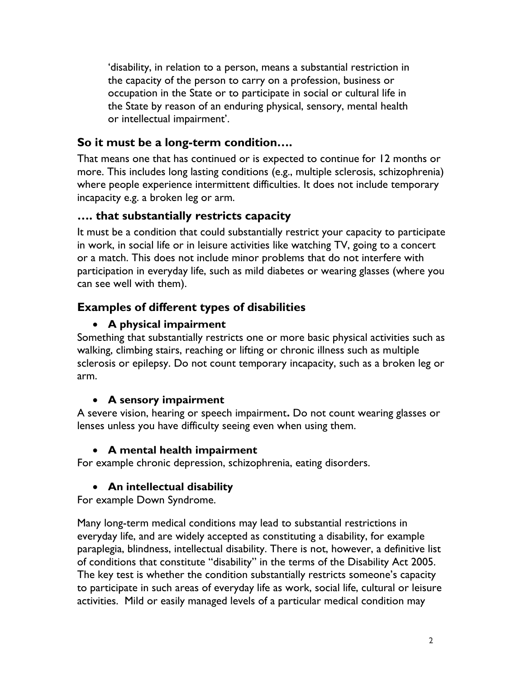'disability, in relation to a person, means a substantial restriction in the capacity of the person to carry on a profession, business or occupation in the State or to participate in social or cultural life in the State by reason of an enduring physical, sensory, mental health or intellectual impairment'.

## **So it must be a long-term condition….**

That means one that has continued or is expected to continue for 12 months or more. This includes long lasting conditions (e.g., multiple sclerosis, schizophrenia) where people experience intermittent difficulties. It does not include temporary incapacity e.g. a broken leg or arm.

### **…. that substantially restricts capacity**

It must be a condition that could substantially restrict your capacity to participate in work, in social life or in leisure activities like watching TV, going to a concert or a match. This does not include minor problems that do not interfere with participation in everyday life, such as mild diabetes or wearing glasses (where you can see well with them).

## **Examples of different types of disabilities**

### **A physical impairment**

Something that substantially restricts one or more basic physical activities such as walking, climbing stairs, reaching or lifting or chronic illness such as multiple sclerosis or epilepsy. Do not count temporary incapacity, such as a broken leg or arm.

#### **A sensory impairment**

A severe vision, hearing or speech impairment**.** Do not count wearing glasses or lenses unless you have difficulty seeing even when using them.

## **A mental health impairment**

For example chronic depression, schizophrenia, eating disorders.

## **An intellectual disability**

For example Down Syndrome.

Many long-term medical conditions may lead to substantial restrictions in everyday life, and are widely accepted as constituting a disability, for example paraplegia, blindness, intellectual disability. There is not, however, a definitive list of conditions that constitute "disability" in the terms of the Disability Act 2005. The key test is whether the condition substantially restricts someone's capacity to participate in such areas of everyday life as work, social life, cultural or leisure activities. Mild or easily managed levels of a particular medical condition may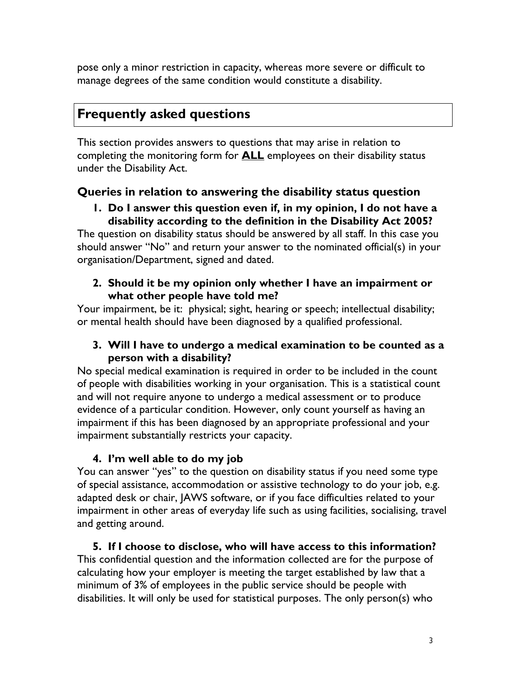pose only a minor restriction in capacity, whereas more severe or difficult to manage degrees of the same condition would constitute a disability.

# **Frequently asked questions**

This section provides answers to questions that may arise in relation to completing the monitoring form for **ALL** employees on their disability status under the Disability Act.

# **Queries in relation to answering the disability status question**

#### **1. Do I answer this question even if, in my opinion, I do not have a disability according to the definition in the Disability Act 2005?**

The question on disability status should be answered by all staff. In this case you should answer "No" and return your answer to the nominated official(s) in your organisation/Department, signed and dated.

#### **2. Should it be my opinion only whether I have an impairment or what other people have told me?**

Your impairment, be it: physical; sight, hearing or speech; intellectual disability; or mental health should have been diagnosed by a qualified professional.

#### **3. Will I have to undergo a medical examination to be counted as a person with a disability?**

No special medical examination is required in order to be included in the count of people with disabilities working in your organisation. This is a statistical count and will not require anyone to undergo a medical assessment or to produce evidence of a particular condition. However, only count yourself as having an impairment if this has been diagnosed by an appropriate professional and your impairment substantially restricts your capacity.

## **4. I'm well able to do my job**

You can answer "yes" to the question on disability status if you need some type of special assistance, accommodation or assistive technology to do your job, e.g. adapted desk or chair, JAWS software, or if you face difficulties related to your impairment in other areas of everyday life such as using facilities, socialising, travel and getting around.

## **5. If I choose to disclose, who will have access to this information?**

This confidential question and the information collected are for the purpose of calculating how your employer is meeting the target established by law that a minimum of 3% of employees in the public service should be people with disabilities. It will only be used for statistical purposes. The only person(s) who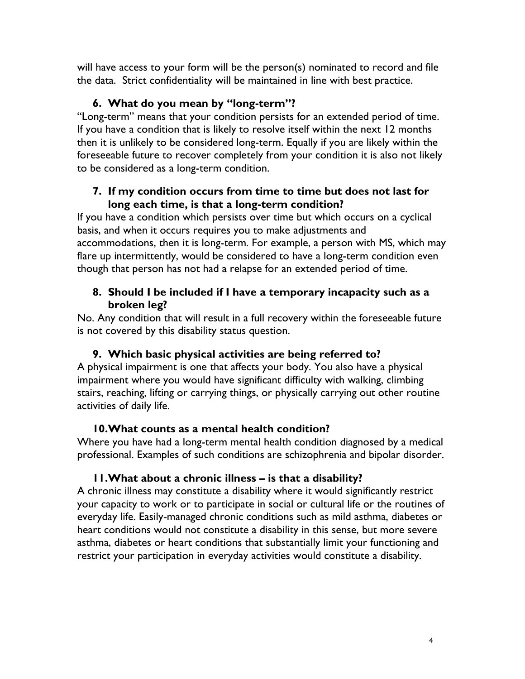will have access to your form will be the person(s) nominated to record and file the data. Strict confidentiality will be maintained in line with best practice.

## **6. What do you mean by "long-term"?**

"Long-term" means that your condition persists for an extended period of time. If you have a condition that is likely to resolve itself within the next 12 months then it is unlikely to be considered long-term. Equally if you are likely within the foreseeable future to recover completely from your condition it is also not likely to be considered as a long-term condition.

#### **7. If my condition occurs from time to time but does not last for long each time, is that a long-term condition?**

If you have a condition which persists over time but which occurs on a cyclical basis, and when it occurs requires you to make adjustments and accommodations, then it is long-term. For example, a person with MS, which may flare up intermittently, would be considered to have a long-term condition even though that person has not had a relapse for an extended period of time.

#### **8. Should I be included if I have a temporary incapacity such as a broken leg?**

No. Any condition that will result in a full recovery within the foreseeable future is not covered by this disability status question.

# **9. Which basic physical activities are being referred to?**

A physical impairment is one that affects your body. You also have a physical impairment where you would have significant difficulty with walking, climbing stairs, reaching, lifting or carrying things, or physically carrying out other routine activities of daily life.

# **10.What counts as a mental health condition?**

Where you have had a long-term mental health condition diagnosed by a medical professional. Examples of such conditions are schizophrenia and bipolar disorder.

# **11.What about a chronic illness – is that a disability?**

A chronic illness may constitute a disability where it would significantly restrict your capacity to work or to participate in social or cultural life or the routines of everyday life. Easily-managed chronic conditions such as mild asthma, diabetes or heart conditions would not constitute a disability in this sense, but more severe asthma, diabetes or heart conditions that substantially limit your functioning and restrict your participation in everyday activities would constitute a disability.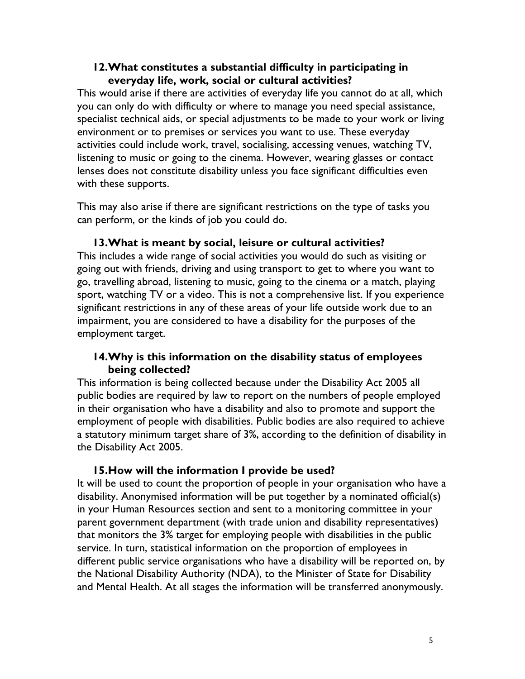#### **12.What constitutes a substantial difficulty in participating in everyday life, work, social or cultural activities?**

This would arise if there are activities of everyday life you cannot do at all, which you can only do with difficulty or where to manage you need special assistance, specialist technical aids, or special adjustments to be made to your work or living environment or to premises or services you want to use. These everyday activities could include work, travel, socialising, accessing venues, watching TV, listening to music or going to the cinema. However, wearing glasses or contact lenses does not constitute disability unless you face significant difficulties even with these supports.

This may also arise if there are significant restrictions on the type of tasks you can perform, or the kinds of job you could do.

#### **13.What is meant by social, leisure or cultural activities?**

This includes a wide range of social activities you would do such as visiting or going out with friends, driving and using transport to get to where you want to go, travelling abroad, listening to music, going to the cinema or a match, playing sport, watching TV or a video. This is not a comprehensive list. If you experience significant restrictions in any of these areas of your life outside work due to an impairment, you are considered to have a disability for the purposes of the employment target.

#### **14.Why is this information on the disability status of employees being collected?**

This information is being collected because under the Disability Act 2005 all public bodies are required by law to report on the numbers of people employed in their organisation who have a disability and also to promote and support the employment of people with disabilities. Public bodies are also required to achieve a statutory minimum target share of 3%, according to the definition of disability in the Disability Act 2005.

#### **15.How will the information I provide be used?**

It will be used to count the proportion of people in your organisation who have a disability. Anonymised information will be put together by a nominated official(s) in your Human Resources section and sent to a monitoring committee in your parent government department (with trade union and disability representatives) that monitors the 3% target for employing people with disabilities in the public service. In turn, statistical information on the proportion of employees in different public service organisations who have a disability will be reported on, by the National Disability Authority (NDA), to the Minister of State for Disability and Mental Health. At all stages the information will be transferred anonymously.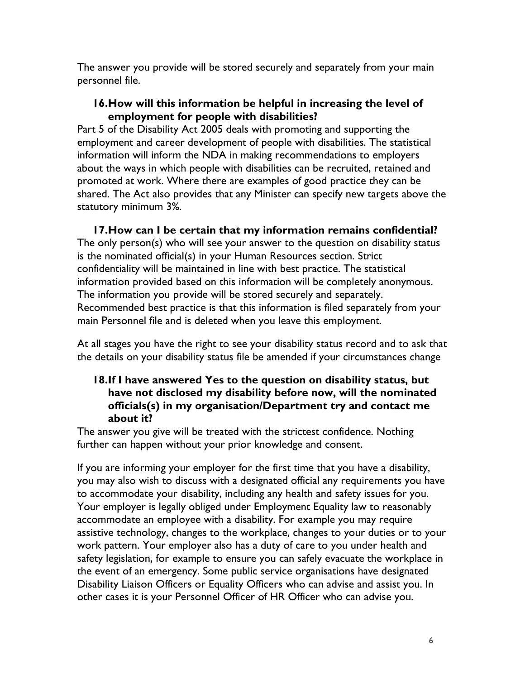The answer you provide will be stored securely and separately from your main personnel file.

#### **16.How will this information be helpful in increasing the level of employment for people with disabilities?**

Part 5 of the Disability Act 2005 deals with promoting and supporting the employment and career development of people with disabilities. The statistical information will inform the NDA in making recommendations to employers about the ways in which people with disabilities can be recruited, retained and promoted at work. Where there are examples of good practice they can be shared. The Act also provides that any Minister can specify new targets above the statutory minimum 3%.

**17.How can I be certain that my information remains confidential?** The only person(s) who will see your answer to the question on disability status is the nominated official(s) in your Human Resources section. Strict confidentiality will be maintained in line with best practice. The statistical information provided based on this information will be completely anonymous. The information you provide will be stored securely and separately. Recommended best practice is that this information is filed separately from your main Personnel file and is deleted when you leave this employment.

At all stages you have the right to see your disability status record and to ask that the details on your disability status file be amended if your circumstances change

#### **18.If I have answered Yes to the question on disability status, but have not disclosed my disability before now, will the nominated officials(s) in my organisation/Department try and contact me about it?**

The answer you give will be treated with the strictest confidence. Nothing further can happen without your prior knowledge and consent.

If you are informing your employer for the first time that you have a disability, you may also wish to discuss with a designated official any requirements you have to accommodate your disability, including any health and safety issues for you. Your employer is legally obliged under Employment Equality law to reasonably accommodate an employee with a disability. For example you may require assistive technology, changes to the workplace, changes to your duties or to your work pattern. Your employer also has a duty of care to you under health and safety legislation, for example to ensure you can safely evacuate the workplace in the event of an emergency. Some public service organisations have designated Disability Liaison Officers or Equality Officers who can advise and assist you. In other cases it is your Personnel Officer of HR Officer who can advise you.